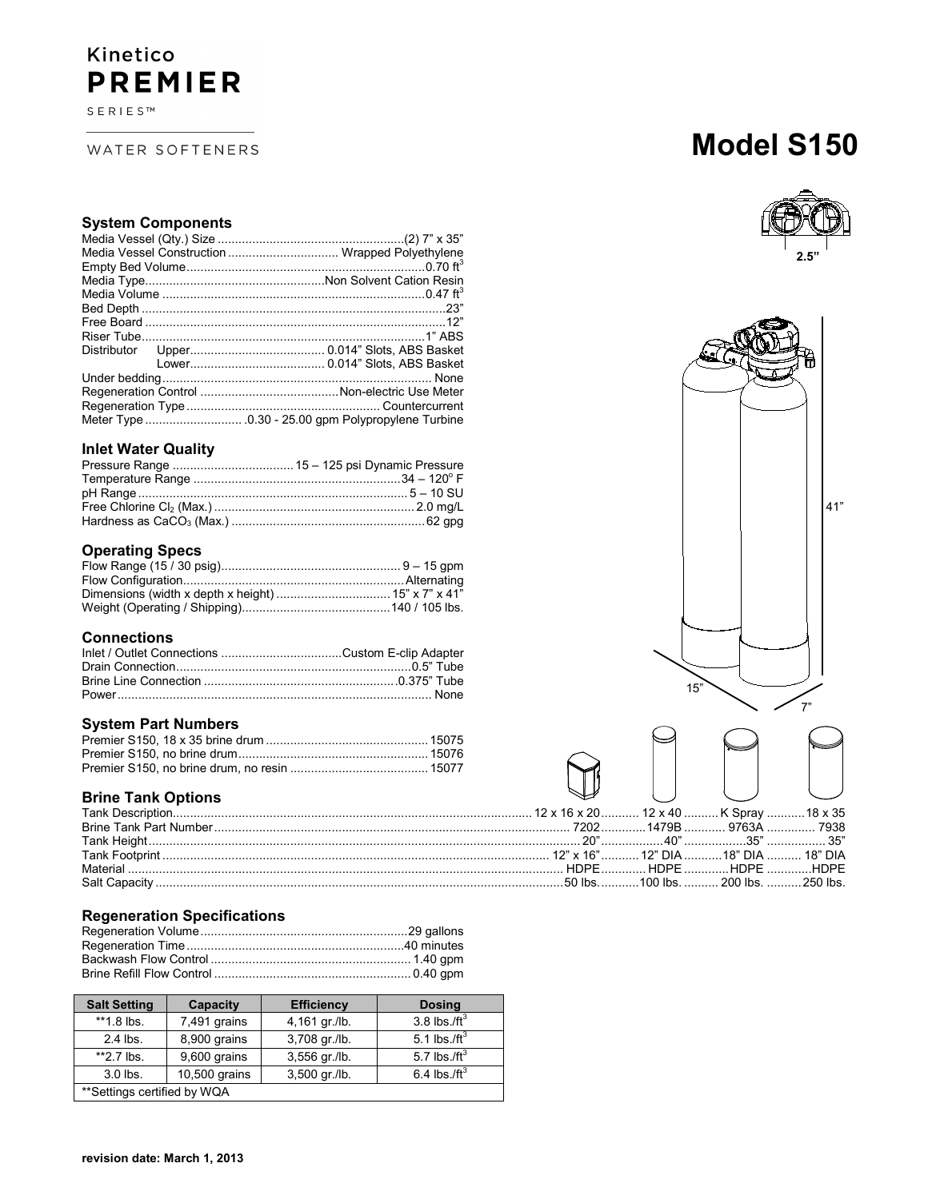# Kinetico **PREMIER**

 $\texttt{S} \to \texttt{R} \texttt{I} \to \texttt{S}^{\texttt{TM}}$ 

WATER SOFTENERS

# **Model S150**



41"

| ۰ę.<br>Ŧ1 |
|-----------|
|           |
|           |
|           |
|           |
|           |
|           |
|           |
|           |
| 15"       |

|     | 16 x 20 12 x 40  K Spray  18 x 35 |     |    |
|-----|-----------------------------------|-----|----|
|     | 72021479B  9763A  7938            |     |    |
| "∩י | $\Lambda$ $\cap$ "                | つに" | つぼ |

#### **System Components**

|  | Media Vessel Construction  Wrapped Polyethylene |
|--|-------------------------------------------------|
|  |                                                 |
|  |                                                 |
|  |                                                 |
|  |                                                 |
|  |                                                 |
|  |                                                 |
|  |                                                 |
|  |                                                 |
|  |                                                 |
|  |                                                 |
|  |                                                 |
|  |                                                 |
|  |                                                 |

## **Inlet Water Quality**

# **Operating Specs**

### **Connections**

#### **System Part Numbers**

#### **Brine Tank Options**

## **Regeneration Specifications**

| <b>Salt Setting</b>         | Capacity      | <b>Efficiency</b> | <b>Dosing</b>    |
|-----------------------------|---------------|-------------------|------------------|
| $*1.8$ lbs.                 | 7,491 grains  | 4,161 gr./lb.     | 3.8 lbs./ $ft^3$ |
| $2.4$ lbs.                  | 8,900 grains  | 3,708 gr./lb.     | 5.1 lbs./ft $3$  |
| $*2.7$ lbs.                 | 9,600 grains  | 3,556 gr./lb.     | 5.7 lbs./ft $3$  |
| $3.0$ lbs.                  | 10,500 grains | 3,500 gr./lb.     | 6.4 lbs./ft $3$  |
| **Settings certified by WQA |               |                   |                  |